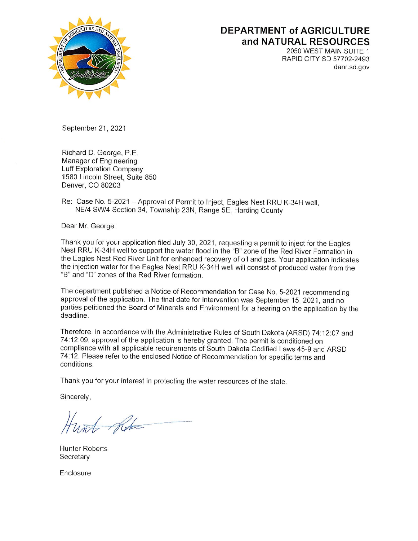

## **DEPARTMENT of AGRICULTURE** and NATURAL RESOURCES

2050 WEST MAIN SUITE 1 RAPID CITY SD 57702-2493 danr.sd.gov

September 21, 2021

Richard D. George, P.E. Manager of Engineering Luff Exploration Company 1580 Lincoln Street, Suite 850 Denver, CO 80203

Re: Case No. 5-2021 - Approval of Permit to Inject, Eagles Nest RRU K-34H well, NE/4 SW/4 Section 34, Township 23N, Range 5E, Harding County

Dear Mr. George:

Thank you for your application filed July 30, 2021, requesting a permit to inject for the Eagles Nest RRU K-34H well to support the water flood in the "B" zone of the Red River Formation in the Eagles Nest Red River Unit for enhanced recovery of oil and gas. Your application indicates the injection water for the Eagles Nest RRU K-34H well will consist of produced water from the "B" and "D" zones of the Red River formation.

The department published a Notice of Recommendation for Case No. 5-2021 recommending approval of the application. The final date for intervention was September 15, 2021, and no parties petitioned the Board of Minerals and Environment for a hearing on the application by the deadline.

Therefore, in accordance with the Administrative Rules of South Dakota (ARSD) 74:12:07 and 74:12:09, approval of the application is hereby granted. The permit is conditioned on compliance with all applicable requirements of South Dakota Codified Laws 45-9 and ARSD 74:12. Please refer to the enclosed Notice of Recommendation for specific terms and conditions.

Thank you for your interest in protecting the water resources of the state.

Sincerely,

Hund Robert

**Hunter Roberts** Secretary

Enclosure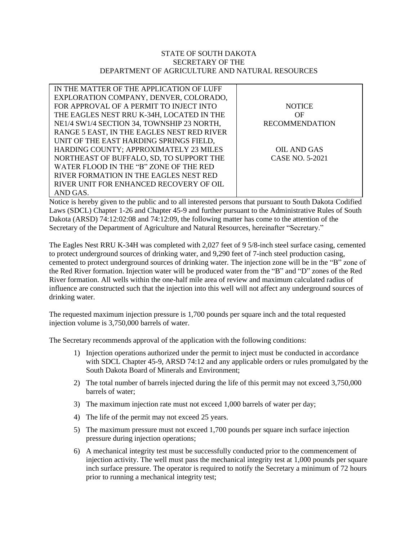## STATE OF SOUTH DAKOTA SECRETARY OF THE DEPARTMENT OF AGRICULTURE AND NATURAL RESOURCES

| IN THE MATTER OF THE APPLICATION OF LUFF   |                       |
|--------------------------------------------|-----------------------|
| EXPLORATION COMPANY, DENVER, COLORADO,     |                       |
| FOR APPROVAL OF A PERMIT TO INJECT INTO    | <b>NOTICE</b>         |
| THE EAGLES NEST RRU K-34H, LOCATED IN THE  | OF                    |
| NE1/4 SW1/4 SECTION 34, TOWNSHIP 23 NORTH, | <b>RECOMMENDATION</b> |
| RANGE 5 EAST, IN THE EAGLES NEST RED RIVER |                       |
| UNIT OF THE EAST HARDING SPRINGS FIELD,    |                       |
| HARDING COUNTY; APPROXIMATELY 23 MILES     | OIL AND GAS           |
| NORTHEAST OF BUFFALO, SD, TO SUPPORT THE   | CASE NO. 5-2021       |
| WATER FLOOD IN THE "B" ZONE OF THE RED     |                       |
| RIVER FORMATION IN THE EAGLES NEST RED     |                       |
| RIVER UNIT FOR ENHANCED RECOVERY OF OIL    |                       |
| AND GAS.                                   |                       |

Notice is hereby given to the public and to all interested persons that pursuant to South Dakota Codified Laws (SDCL) Chapter 1-26 and Chapter 45-9 and further pursuant to the Administrative Rules of South Dakota (ARSD) 74:12:02:08 and 74:12:09, the following matter has come to the attention of the Secretary of the Department of Agriculture and Natural Resources, hereinafter "Secretary."

The Eagles Nest RRU K-34H was completed with 2,027 feet of 9 5/8-inch steel surface casing, cemented to protect underground sources of drinking water, and 9,290 feet of 7-inch steel production casing, cemented to protect underground sources of drinking water. The injection zone will be in the "B" zone of the Red River formation. Injection water will be produced water from the "B" and "D" zones of the Red River formation. All wells within the one-half mile area of review and maximum calculated radius of influence are constructed such that the injection into this well will not affect any underground sources of drinking water.

The requested maximum injection pressure is 1,700 pounds per square inch and the total requested injection volume is 3,750,000 barrels of water.

The Secretary recommends approval of the application with the following conditions:

- 1) Injection operations authorized under the permit to inject must be conducted in accordance with SDCL Chapter 45-9, ARSD 74:12 and any applicable orders or rules promulgated by the South Dakota Board of Minerals and Environment;
- 2) The total number of barrels injected during the life of this permit may not exceed 3,750,000 barrels of water;
- 3) The maximum injection rate must not exceed 1,000 barrels of water per day;
- 4) The life of the permit may not exceed 25 years.
- 5) The maximum pressure must not exceed 1,700 pounds per square inch surface injection pressure during injection operations;
- 6) A mechanical integrity test must be successfully conducted prior to the commencement of injection activity. The well must pass the mechanical integrity test at 1,000 pounds per square inch surface pressure. The operator is required to notify the Secretary a minimum of 72 hours prior to running a mechanical integrity test;